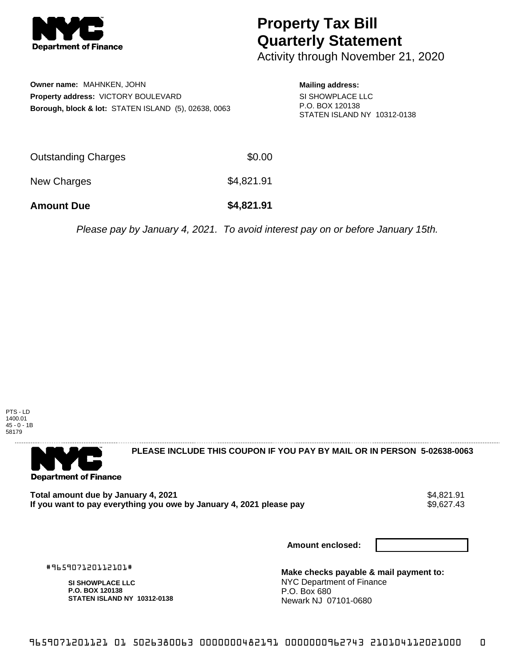

## **Property Tax Bill Quarterly Statement**

Activity through November 21, 2020

**Owner name:** MAHNKEN, JOHN **Property address:** VICTORY BOULEVARD **Borough, block & lot:** STATEN ISLAND (5), 02638, 0063 **Mailing address:**

SI SHOWPLACE LLC P.O. BOX 120138 STATEN ISLAND NY 10312-0138

| <b>Amount Due</b>   | \$4,821.91 |
|---------------------|------------|
| New Charges         | \$4,821.91 |
| Outstanding Charges | \$0.00     |

Please pay by January 4, 2021. To avoid interest pay on or before January 15th.



**Department of Finance** 

**PLEASE INCLUDE THIS COUPON IF YOU PAY BY MAIL OR IN PERSON 5-02638-0063** 

**Total amount due by January 4, 2021**<br>If you want to pay everything you owe by January 4, 2021 please pay **show that the set of the set of the set of** If you want to pay everything you owe by January 4, 2021 please pay

**Amount enclosed:**

#965907120112101#

**SI SHOWPLACE LLC P.O. BOX 120138 STATEN ISLAND NY 10312-0138**

**Make checks payable & mail payment to:** NYC Department of Finance P.O. Box 680 Newark NJ 07101-0680